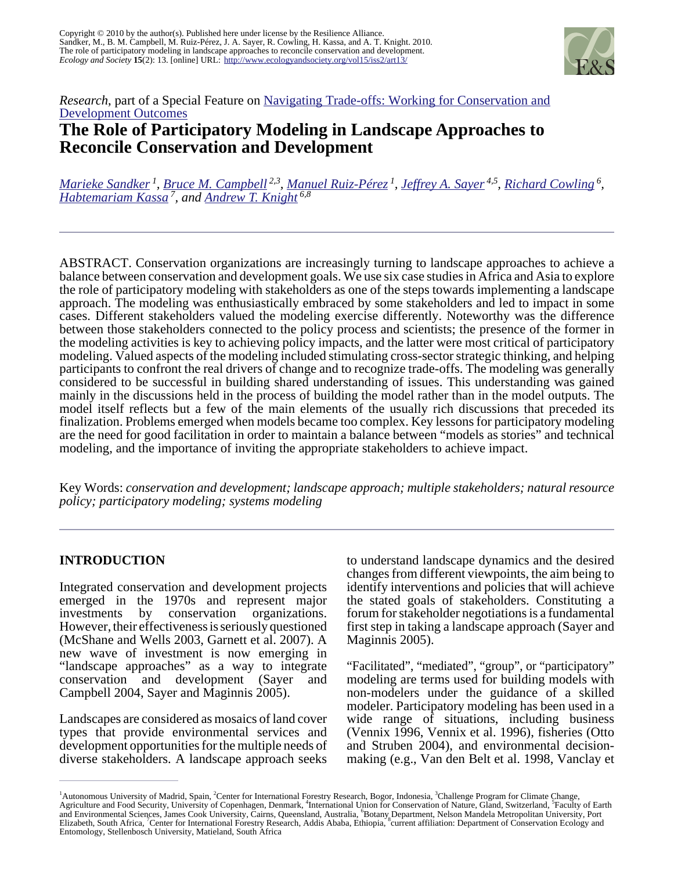

### *Research*, part of a Special Feature on [Navigating Trade-offs: Working for Conservation and](http://www.ecologyandsociety.org/viewissue.php?sf=26) [Development Outcomes](http://www.ecologyandsociety.org/viewissue.php?sf=26) **The Role of Participatory Modeling in Landscape Approaches to Reconcile Conservation and Development**

*[Marieke Sandker](mailto:Marieke.Sandker@uam.es)<sup>1</sup>, [Bruce M. Campbell](mailto:b.campbell@cgiar.org)*<sup>2,3</sup>, [Manuel Ruiz-Pérez](mailto:manuel.ruiz@uam.es)<sup>1</sup>, [Jeffrey A. Sayer](mailto:jeff.sayer@iucn.org)<sup>4,5</sup>, [Richard Cowling](mailto:rmc@kingsley.co.za)<sup>6</sup>, *[Habtemariam Kassa](mailto:HKassa@cgiar.org)<sup>7</sup>, and [Andrew T. Knight](mailto:tawnyfrogmouth@gmail.com) 6,8*

ABSTRACT. Conservation organizations are increasingly turning to landscape approaches to achieve a balance between conservation and development goals. We use six case studies in Africa and Asia to explore the role of participatory modeling with stakeholders as one of the steps towards implementing a landscape approach. The modeling was enthusiastically embraced by some stakeholders and led to impact in some cases. Different stakeholders valued the modeling exercise differently. Noteworthy was the difference between those stakeholders connected to the policy process and scientists; the presence of the former in the modeling activities is key to achieving policy impacts, and the latter were most critical of participatory modeling. Valued aspects of the modeling included stimulating cross-sector strategic thinking, and helping participants to confront the real drivers of change and to recognize trade-offs. The modeling was generally considered to be successful in building shared understanding of issues. This understanding was gained mainly in the discussions held in the process of building the model rather than in the model outputs. The model itself reflects but a few of the main elements of the usually rich discussions that preceded its finalization. Problems emerged when models became too complex. Key lessons for participatory modeling are the need for good facilitation in order to maintain a balance between "models as stories" and technical modeling, and the importance of inviting the appropriate stakeholders to achieve impact.

Key Words: *conservation and development; landscape approach; multiple stakeholders; natural resource policy; participatory modeling; systems modeling*

## **INTRODUCTION**

Integrated conservation and development projects emerged in the 1970s and represent major<br>investments by conservation organizations. organizations. However, their effectiveness is seriously questioned (McShane and Wells 2003, Garnett et al. 2007). A new wave of investment is now emerging in "landscape approaches" as a way to integrate conservation and development (Sayer and Campbell 2004, Sayer and Maginnis 2005).

Landscapes are considered as mosaics of land cover types that provide environmental services and development opportunities for the multiple needs of diverse stakeholders. A landscape approach seeks

to understand landscape dynamics and the desired changes from different viewpoints, the aim being to identify interventions and policies that will achieve the stated goals of stakeholders. Constituting a forum for stakeholder negotiations is a fundamental first step in taking a landscape approach (Sayer and Maginnis 2005).

"Facilitated", "mediated", "group", or "participatory" modeling are terms used for building models with non-modelers under the guidance of a skilled modeler. Participatory modeling has been used in a wide range of situations, including business (Vennix 1996, Vennix et al. 1996), fisheries (Otto and Struben 2004), and environmental decisionmaking (e.g., Van den Belt et al. 1998, Vanclay et

<sup>&</sup>lt;sup>1</sup>Autonomous University of Madrid, Spain, <sup>2</sup>Center for International Forestry Research, Bogor, Indonesia, <sup>3</sup>Challenge Program for Climate Change, Agriculture and Food Security, University of Copenhagen, Denmark, <sup>4</sup>International Union for Conservation of Nature, Gland, Switzerland, <sup>5</sup>Faculty of Earth and Environmental Sciences, James Cook University, Cairns, Queensland, Australia, <sup>6</sup>Botany Department, Nelson Mandela Metropolitan University, Port Elizabeth, South Africa, <sup>7</sup>Center for International Forestry Research, Addis Ababa, Ethiopia, <sup>8</sup>current affiliation: Department of Conservation Ecology and Entomology, Stellenbosch University, Matieland, South Africa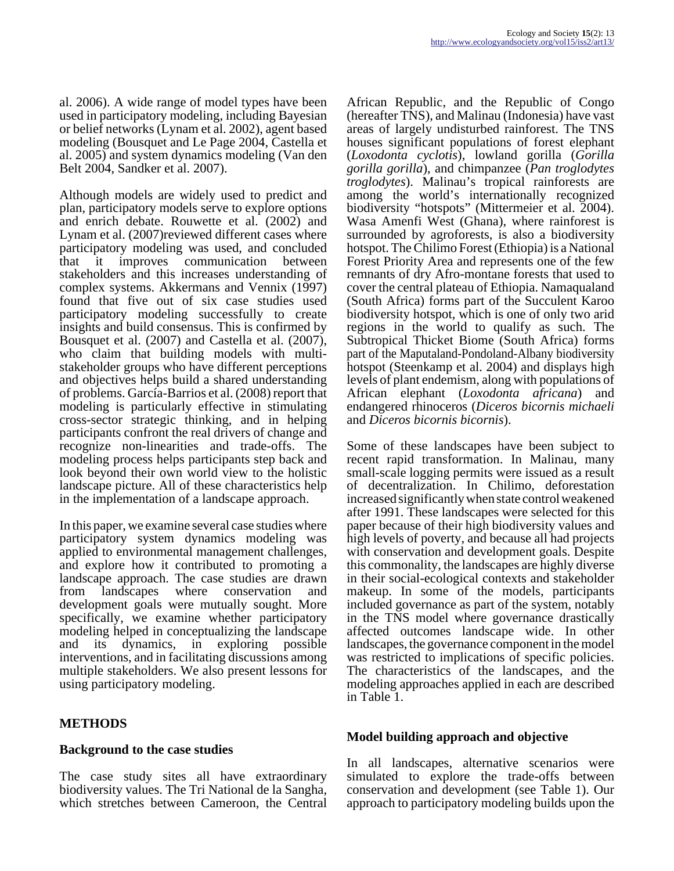al. 2006). A wide range of model types have been used in participatory modeling, including Bayesian or belief networks (Lynam et al. 2002), agent based modeling (Bousquet and Le Page 2004, Castella et al. 2005) and system dynamics modeling (Van den Belt 2004, Sandker et al. 2007).

Although models are widely used to predict and plan, participatory models serve to explore options and enrich debate. Rouwette et al. (2002) and Lynam et al. (2007)reviewed different cases where participatory modeling was used, and concluded that it improves communication between stakeholders and this increases understanding of complex systems. Akkermans and Vennix (1997) found that five out of six case studies used participatory modeling successfully to create insights and build consensus. This is confirmed by Bousquet et al. (2007) and Castella et al. (2007), who claim that building models with multistakeholder groups who have different perceptions and objectives helps build a shared understanding of problems. García-Barrios et al. (2008) report that modeling is particularly effective in stimulating cross-sector strategic thinking, and in helping participants confront the real drivers of change and recognize non-linearities and trade-offs. The modeling process helps participants step back and look beyond their own world view to the holistic landscape picture. All of these characteristics help in the implementation of a landscape approach.

In this paper, we examine several case studies where participatory system dynamics modeling was applied to environmental management challenges, and explore how it contributed to promoting a landscape approach. The case studies are drawn from landscapes where conservation and development goals were mutually sought. More specifically, we examine whether participatory modeling helped in conceptualizing the landscape and its dynamics, in exploring possible interventions, and in facilitating discussions among multiple stakeholders. We also present lessons for using participatory modeling.

### **METHODS**

### **Background to the case studies**

The case study sites all have extraordinary biodiversity values. The Tri National de la Sangha, which stretches between Cameroon, the Central

African Republic, and the Republic of Congo (hereafter TNS), and Malinau (Indonesia) have vast areas of largely undisturbed rainforest. The TNS houses significant populations of forest elephant (*Loxodonta cyclotis*), lowland gorilla (*Gorilla gorilla gorilla*), and chimpanzee (*Pan troglodytes troglodytes*). Malinau's tropical rainforests are among the world's internationally recognized biodiversity "hotspots" (Mittermeier et al. 2004). Wasa Amenfi West (Ghana), where rainforest is surrounded by agroforests, is also a biodiversity hotspot. The Chilimo Forest (Ethiopia) is a National Forest Priority Area and represents one of the few remnants of dry Afro-montane forests that used to cover the central plateau of Ethiopia. Namaqualand (South Africa) forms part of the Succulent Karoo biodiversity hotspot, which is one of only two arid regions in the world to qualify as such. The Subtropical Thicket Biome (South Africa) forms part of the Maputaland-Pondoland-Albany biodiversity hotspot (Steenkamp et al. 2004) and displays high levels of plant endemism, along with populations of African elephant (*Loxodonta africana*) and endangered rhinoceros (*Diceros bicornis michaeli* and *Diceros bicornis bicornis*).

Some of these landscapes have been subject to recent rapid transformation. In Malinau, many small-scale logging permits were issued as a result of decentralization. In Chilimo, deforestation increased significantly when state control weakened after 1991. These landscapes were selected for this paper because of their high biodiversity values and high levels of poverty, and because all had projects with conservation and development goals. Despite this commonality, the landscapes are highly diverse in their social-ecological contexts and stakeholder makeup. In some of the models, participants included governance as part of the system, notably in the TNS model where governance drastically affected outcomes landscape wide. In other landscapes, the governance component in the model was restricted to implications of specific policies. The characteristics of the landscapes, and the modeling approaches applied in each are described in Table 1.

### **Model building approach and objective**

In all landscapes, alternative scenarios were simulated to explore the trade-offs between conservation and development (see Table 1). Our approach to participatory modeling builds upon the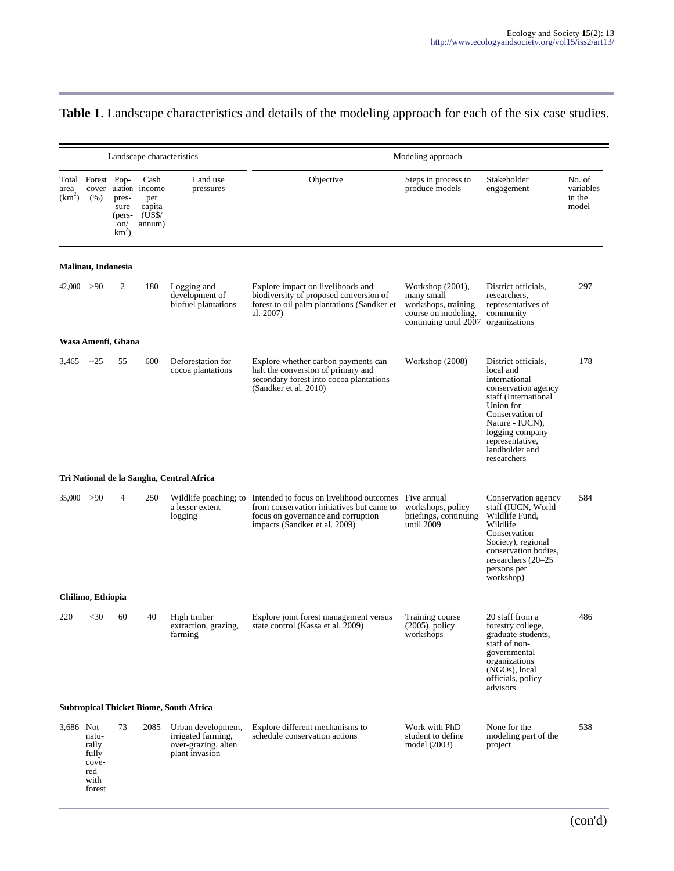# **Table 1**. Landscape characteristics and details of the modeling approach for each of the six case studies.

|                  |                                                 |                                                  |                                                                  | Landscape characteristics                                                         | Modeling approach                                                                                                                                                                  |                                                                                                          |                                                                                                                                                                                                                            |                                        |  |  |  |
|------------------|-------------------------------------------------|--------------------------------------------------|------------------------------------------------------------------|-----------------------------------------------------------------------------------|------------------------------------------------------------------------------------------------------------------------------------------------------------------------------------|----------------------------------------------------------------------------------------------------------|----------------------------------------------------------------------------------------------------------------------------------------------------------------------------------------------------------------------------|----------------------------------------|--|--|--|
| area<br>$(km^2)$ | Total Forest Pop-<br>(% )                       | pres-<br>sure<br>(pers-<br>$\text{on}$<br>$km^2$ | Cash<br>cover ulation income<br>per<br>capita<br>(USS/<br>annum) | Land use<br>pressures                                                             | Objective                                                                                                                                                                          | Steps in process to<br>produce models                                                                    | Stakeholder<br>engagement                                                                                                                                                                                                  | No. of<br>variables<br>in the<br>model |  |  |  |
|                  | Malinau, Indonesia                              |                                                  |                                                                  |                                                                                   |                                                                                                                                                                                    |                                                                                                          |                                                                                                                                                                                                                            |                                        |  |  |  |
| 42,000           | >90                                             | 2                                                | 180                                                              | Logging and<br>development of<br>biofuel plantations                              | Explore impact on livelihoods and<br>biodiversity of proposed conversion of<br>forest to oil palm plantations (Sandker et<br>al. 2007)                                             | Workshop $(2001)$ ,<br>many small<br>workshops, training<br>course on modeling,<br>continuing until 2007 | District officials.<br>researchers.<br>representatives of<br>community<br>organizations                                                                                                                                    | 297                                    |  |  |  |
|                  | Wasa Amenfi, Ghana                              |                                                  |                                                                  |                                                                                   |                                                                                                                                                                                    |                                                                                                          |                                                                                                                                                                                                                            |                                        |  |  |  |
| 3,465            | ~25                                             | 55                                               | 600                                                              | Deforestation for<br>cocoa plantations                                            | Explore whether carbon payments can<br>halt the conversion of primary and<br>secondary forest into cocoa plantations<br>(Sandker et al. 2010)                                      | Workshop (2008)                                                                                          | District officials,<br>local and<br>international<br>conservation agency<br>staff (International<br>Union for<br>Conservation of<br>Nature - IUCN).<br>logging company<br>representative,<br>landholder and<br>researchers | 178                                    |  |  |  |
|                  |                                                 |                                                  |                                                                  | Tri National de la Sangha, Central Africa                                         |                                                                                                                                                                                    |                                                                                                          |                                                                                                                                                                                                                            |                                        |  |  |  |
| 35,000           | >90                                             | 4                                                | 250                                                              | a lesser extent<br>logging                                                        | Wildlife poaching; to Intended to focus on livelihood outcomes<br>from conservation initiatives but came to<br>focus on governance and corruption<br>impacts (Sandker et al. 2009) | Five annual<br>workshops, policy<br>briefings, continuing<br>until 2009                                  | Conservation agency<br>staff (IUCN, World<br>Wildlife Fund,<br>Wildlife<br>Conservation<br>Society), regional<br>conservation bodies,<br>researchers $(20-25)$<br>persons per<br>workshop)                                 | 584                                    |  |  |  |
|                  | Chilimo, Ethiopia                               |                                                  |                                                                  |                                                                                   |                                                                                                                                                                                    |                                                                                                          |                                                                                                                                                                                                                            |                                        |  |  |  |
| 220              | $<$ 30                                          | 60                                               | 40                                                               | High timber<br>extraction, grazing,<br>farming                                    | Explore joint forest management versus<br>state control (Kassa et al. 2009)                                                                                                        | Training course<br>$(2005)$ , policy<br>workshops                                                        | 20 staff from a<br>forestry college,<br>graduate students,<br>staff of non-<br>governmental<br>organizations<br>(NGOs), local<br>officials, policy<br>advisors                                                             | 486                                    |  |  |  |
|                  |                                                 |                                                  |                                                                  | <b>Subtropical Thicket Biome, South Africa</b>                                    |                                                                                                                                                                                    |                                                                                                          |                                                                                                                                                                                                                            |                                        |  |  |  |
| 3,686 Not        | natu-<br>rally<br>fully<br>cove-<br>red<br>with | 73                                               | 2085                                                             | Urban development,<br>irrigated farming,<br>over-grazing, alien<br>plant invasion | Explore different mechanisms to<br>schedule conservation actions                                                                                                                   | Work with PhD<br>student to define<br>model (2003)                                                       | None for the<br>modeling part of the<br>project                                                                                                                                                                            | 538                                    |  |  |  |

forest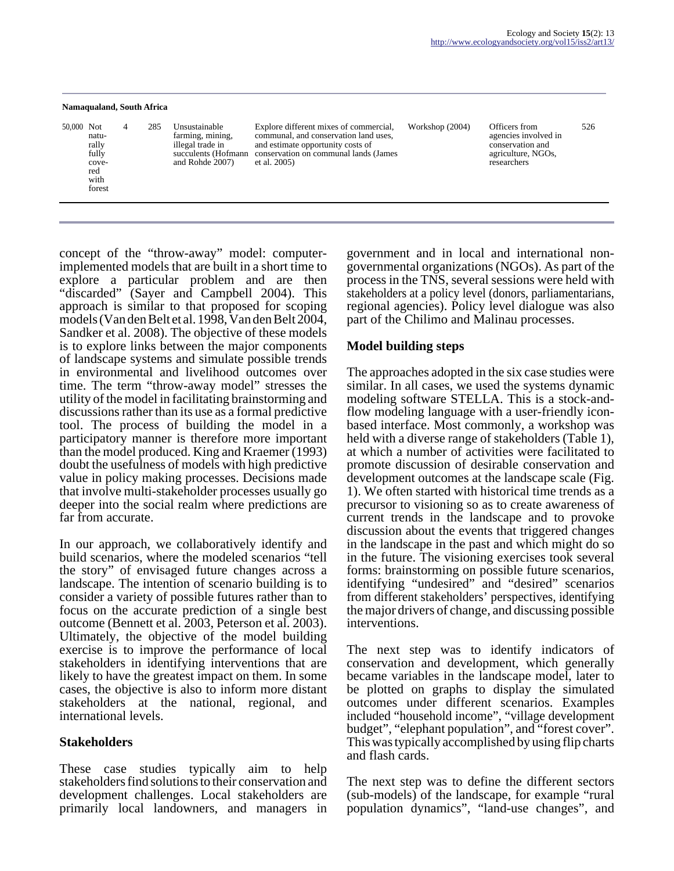| Namaqualand, South Africa |                                                           |   |     |                                                                                                 |                                                                                                                                                                               |                 |                                                                                                |     |  |  |
|---------------------------|-----------------------------------------------------------|---|-----|-------------------------------------------------------------------------------------------------|-------------------------------------------------------------------------------------------------------------------------------------------------------------------------------|-----------------|------------------------------------------------------------------------------------------------|-----|--|--|
| 50,000 Not                | natu-<br>rally<br>fully<br>cove-<br>red<br>with<br>forest | 4 | 285 | Unsustainable<br>farming, mining,<br>illegal trade in<br>succulents (Hofmann<br>and Rohde 2007) | Explore different mixes of commercial,<br>communal, and conservation land uses,<br>and estimate opportunity costs of<br>conservation on communal lands (James<br>et al. 2005) | Workshop (2004) | Officers from<br>agencies involved in<br>conservation and<br>agriculture, NGOs,<br>researchers | 526 |  |  |
|                           |                                                           |   |     |                                                                                                 |                                                                                                                                                                               |                 |                                                                                                |     |  |  |

concept of the "throw-away" model: computerimplemented models that are built in a short time to explore a particular problem and are then "discarded" (Sayer and Campbell 2004). This approach is similar to that proposed for scoping models (Van den Belt et al. 1998, Van den Belt 2004, Sandker et al. 2008). The objective of these models is to explore links between the major components of landscape systems and simulate possible trends in environmental and livelihood outcomes over time. The term "throw-away model" stresses the utility of the model in facilitating brainstorming and discussions rather than its use as a formal predictive tool. The process of building the model in a participatory manner is therefore more important than the model produced. King and Kraemer (1993) doubt the usefulness of models with high predictive value in policy making processes. Decisions made that involve multi-stakeholder processes usually go deeper into the social realm where predictions are far from accurate.

In our approach, we collaboratively identify and build scenarios, where the modeled scenarios "tell the story" of envisaged future changes across a landscape. The intention of scenario building is to consider a variety of possible futures rather than to focus on the accurate prediction of a single best outcome (Bennett et al. 2003, Peterson et al. 2003). Ultimately, the objective of the model building exercise is to improve the performance of local stakeholders in identifying interventions that are likely to have the greatest impact on them. In some cases, the objective is also to inform more distant stakeholders at the national, regional, and international levels.

### **Stakeholders**

These case studies typically aim to help stakeholders find solutions to their conservation and development challenges. Local stakeholders are primarily local landowners, and managers in

government and in local and international nongovernmental organizations (NGOs). As part of the process in the TNS, several sessions were held with stakeholders at a policy level (donors, parliamentarians, regional agencies). Policy level dialogue was also part of the Chilimo and Malinau processes.

### **Model building steps**

The approaches adopted in the six case studies were similar. In all cases, we used the systems dynamic modeling software STELLA. This is a stock-andflow modeling language with a user-friendly iconbased interface. Most commonly, a workshop was held with a diverse range of stakeholders (Table 1), at which a number of activities were facilitated to promote discussion of desirable conservation and development outcomes at the landscape scale (Fig. 1). We often started with historical time trends as a precursor to visioning so as to create awareness of current trends in the landscape and to provoke discussion about the events that triggered changes in the landscape in the past and which might do so in the future. The visioning exercises took several forms: brainstorming on possible future scenarios, identifying "undesired" and "desired" scenarios from different stakeholders' perspectives, identifying the major drivers of change, and discussing possible interventions.

The next step was to identify indicators of conservation and development, which generally became variables in the landscape model, later to be plotted on graphs to display the simulated outcomes under different scenarios. Examples included "household income", "village development budget", "elephant population", and "forest cover". This was typically accomplished by using flip charts and flash cards.

The next step was to define the different sectors (sub-models) of the landscape, for example "rural population dynamics", "land-use changes", and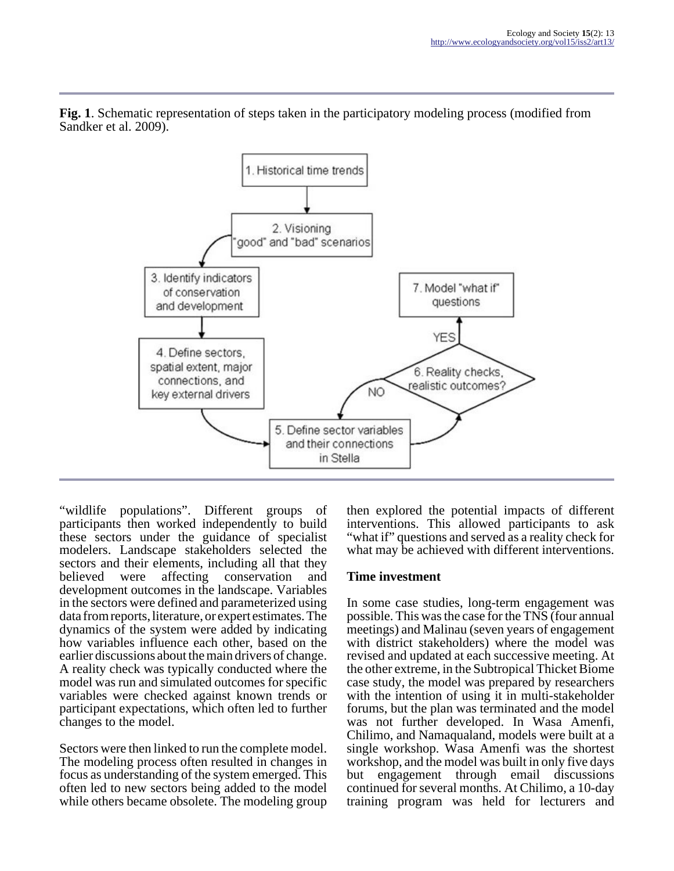

**Fig. 1**. Schematic representation of steps taken in the participatory modeling process (modified from Sandker et al. 2009).

"wildlife populations". Different groups of participants then worked independently to build these sectors under the guidance of specialist modelers. Landscape stakeholders selected the sectors and their elements, including all that they believed were affecting conservation and development outcomes in the landscape. Variables in the sectors were defined and parameterized using data from reports, literature, or expert estimates. The dynamics of the system were added by indicating how variables influence each other, based on the earlier discussions about the main drivers of change. A reality check was typically conducted where the model was run and simulated outcomes for specific variables were checked against known trends or participant expectations, which often led to further changes to the model.

Sectors were then linked to run the complete model. The modeling process often resulted in changes in focus as understanding of the system emerged. This often led to new sectors being added to the model while others became obsolete. The modeling group then explored the potential impacts of different interventions. This allowed participants to ask "what if" questions and served as a reality check for what may be achieved with different interventions.

### **Time investment**

In some case studies, long-term engagement was possible. This was the case for the TNS (four annual meetings) and Malinau (seven years of engagement with district stakeholders) where the model was revised and updated at each successive meeting. At the other extreme, in the Subtropical Thicket Biome case study, the model was prepared by researchers with the intention of using it in multi-stakeholder forums, but the plan was terminated and the model was not further developed. In Wasa Amenfi, Chilimo, and Namaqualand, models were built at a single workshop. Wasa Amenfi was the shortest workshop, and the model was built in only five days but engagement through email discussions continued for several months. At Chilimo, a 10-day training program was held for lecturers and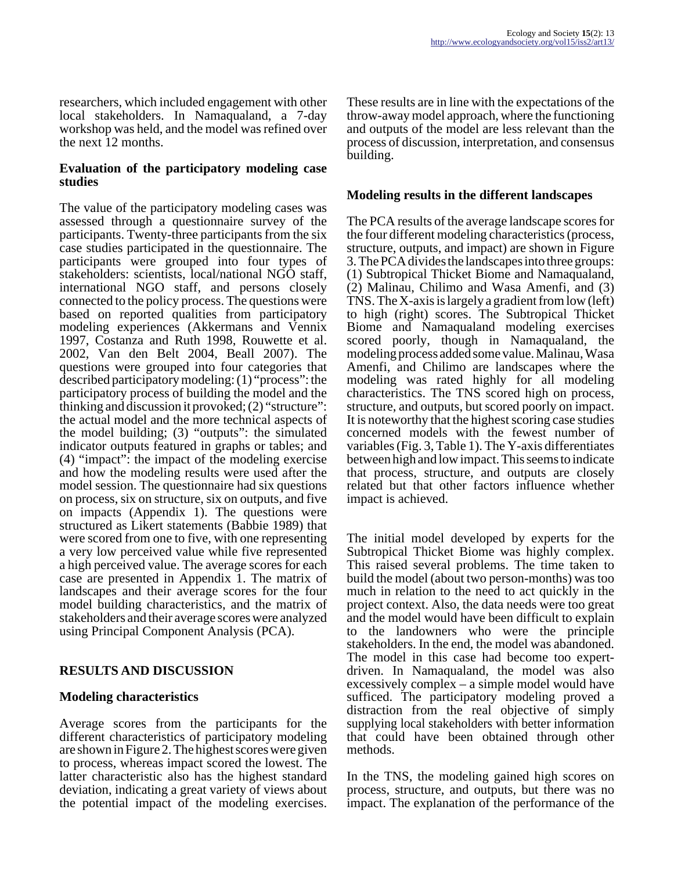researchers, which included engagement with other local stakeholders. In Namaqualand, a 7-day workshop was held, and the model was refined over the next 12 months.

#### **Evaluation of the participatory modeling case studies**

The value of the participatory modeling cases was assessed through a questionnaire survey of the participants. Twenty-three participants from the six case studies participated in the questionnaire. The participants were grouped into four types of stakeholders: scientists, local/national NGO staff, international NGO staff, and persons closely connected to the policy process. The questions were based on reported qualities from participatory modeling experiences (Akkermans and Vennix 1997, Costanza and Ruth 1998, Rouwette et al. 2002, Van den Belt 2004, Beall 2007). The questions were grouped into four categories that described participatory modeling: (1) "process": the participatory process of building the model and the thinking and discussion it provoked; (2) "structure": the actual model and the more technical aspects of the model building; (3) "outputs": the simulated indicator outputs featured in graphs or tables; and (4) "impact": the impact of the modeling exercise and how the modeling results were used after the model session. The questionnaire had six questions on process, six on structure, six on outputs, and five on impacts (Appendix 1). The questions were structured as Likert statements (Babbie 1989) that were scored from one to five, with one representing a very low perceived value while five represented a high perceived value. The average scores for each case are presented in Appendix 1. The matrix of landscapes and their average scores for the four model building characteristics, and the matrix of stakeholders and their average scores were analyzed using Principal Component Analysis (PCA).

### **RESULTS AND DISCUSSION**

### **Modeling characteristics**

Average scores from the participants for the different characteristics of participatory modeling are shown in Figure 2. The highest scores were given to process, whereas impact scored the lowest. The latter characteristic also has the highest standard deviation, indicating a great variety of views about the potential impact of the modeling exercises.

These results are in line with the expectations of the throw-away model approach, where the functioning and outputs of the model are less relevant than the process of discussion, interpretation, and consensus building.

#### **Modeling results in the different landscapes**

The PCA results of the average landscape scores for the four different modeling characteristics (process, structure, outputs, and impact) are shown in Figure 3. The PCA divides the landscapes into three groups: (1) Subtropical Thicket Biome and Namaqualand, (2) Malinau, Chilimo and Wasa Amenfi, and (3) TNS. The X-axis is largely a gradient from low (left) to high (right) scores. The Subtropical Thicket Biome and Namaqualand modeling exercises scored poorly, though in Namaqualand, the modeling process added some value. Malinau, Wasa Amenfi, and Chilimo are landscapes where the modeling was rated highly for all modeling characteristics. The TNS scored high on process, structure, and outputs, but scored poorly on impact. It is noteworthy that the highest scoring case studies concerned models with the fewest number of variables (Fig. 3, Table 1). The Y-axis differentiates between high and low impact. This seems to indicate that process, structure, and outputs are closely related but that other factors influence whether impact is achieved.

The initial model developed by experts for the Subtropical Thicket Biome was highly complex. This raised several problems. The time taken to build the model (about two person-months) was too much in relation to the need to act quickly in the project context. Also, the data needs were too great and the model would have been difficult to explain to the landowners who were the principle stakeholders. In the end, the model was abandoned. The model in this case had become too expertdriven. In Namaqualand, the model was also excessively complex – a simple model would have sufficed. The participatory modeling proved a distraction from the real objective of simply supplying local stakeholders with better information that could have been obtained through other methods.

In the TNS, the modeling gained high scores on process, structure, and outputs, but there was no impact. The explanation of the performance of the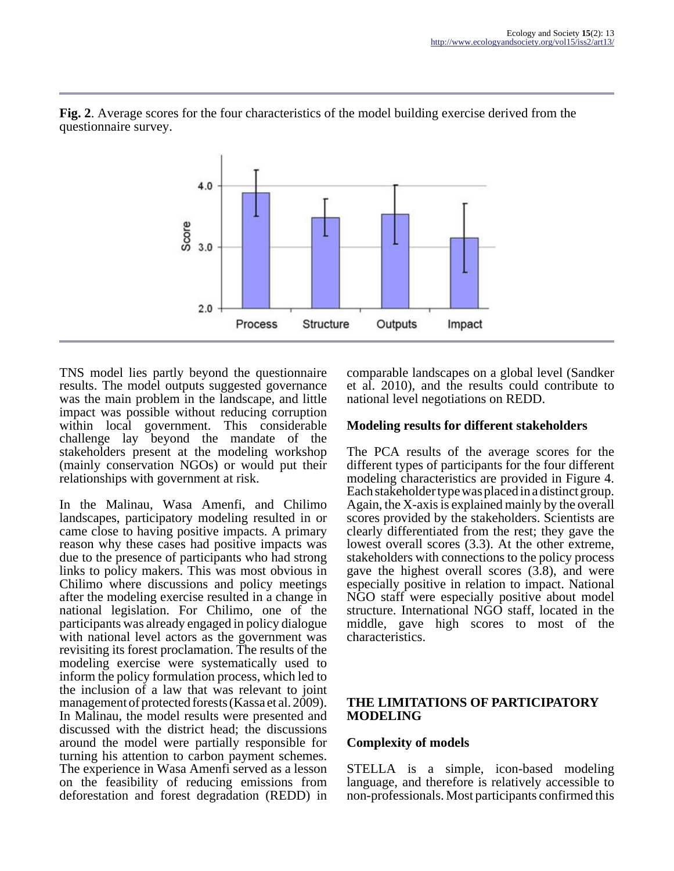

**Fig. 2**. Average scores for the four characteristics of the model building exercise derived from the questionnaire survey.

TNS model lies partly beyond the questionnaire results. The model outputs suggested governance was the main problem in the landscape, and little impact was possible without reducing corruption within local government. This considerable challenge lay beyond the mandate of the stakeholders present at the modeling workshop (mainly conservation NGOs) or would put their relationships with government at risk.

In the Malinau, Wasa Amenfi, and Chilimo landscapes, participatory modeling resulted in or came close to having positive impacts. A primary reason why these cases had positive impacts was due to the presence of participants who had strong links to policy makers. This was most obvious in Chilimo where discussions and policy meetings after the modeling exercise resulted in a change in national legislation. For Chilimo, one of the participants was already engaged in policy dialogue with national level actors as the government was revisiting its forest proclamation. The results of the modeling exercise were systematically used to inform the policy formulation process, which led to the inclusion of a law that was relevant to joint management of protected forests (Kassa et al. 2009). In Malinau, the model results were presented and discussed with the district head; the discussions around the model were partially responsible for turning his attention to carbon payment schemes. The experience in Wasa Amenfi served as a lesson on the feasibility of reducing emissions from deforestation and forest degradation (REDD) in

comparable landscapes on a global level (Sandker et al. 2010), and the results could contribute to national level negotiations on REDD.

#### **Modeling results for different stakeholders**

The PCA results of the average scores for the different types of participants for the four different modeling characteristics are provided in Figure 4. Each stakeholder type was placed in a distinct group. Again, the X-axis is explained mainly by the overall scores provided by the stakeholders. Scientists are clearly differentiated from the rest; they gave the lowest overall scores (3.3). At the other extreme, stakeholders with connections to the policy process gave the highest overall scores (3.8), and were especially positive in relation to impact. National NGO staff were especially positive about model structure. International NGO staff, located in the middle, gave high scores to most of the characteristics.

#### **THE LIMITATIONS OF PARTICIPATORY MODELING**

### **Complexity of models**

STELLA is a simple, icon-based modeling language, and therefore is relatively accessible to non-professionals. Most participants confirmed this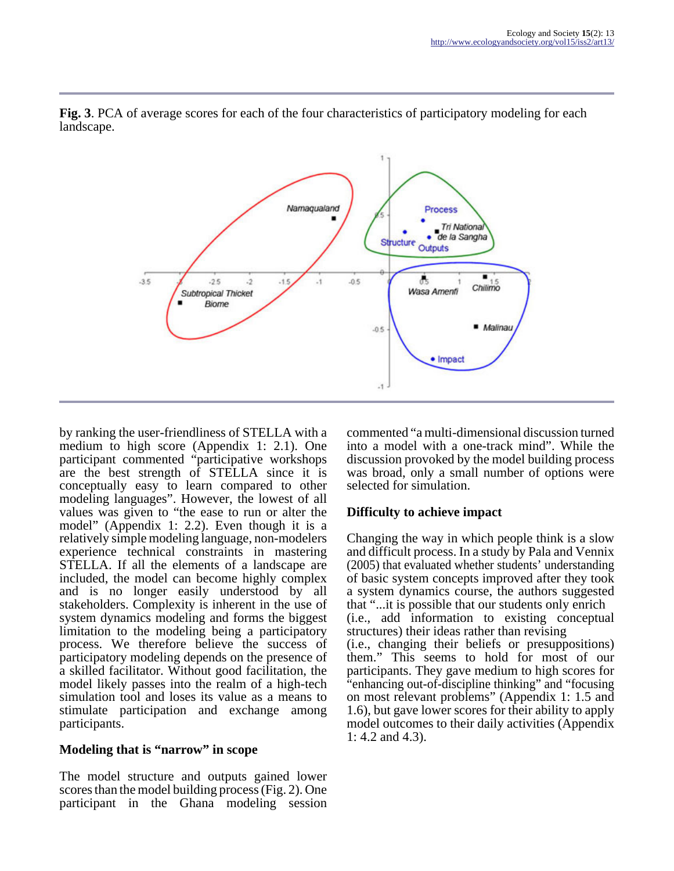

**Fig. 3**. PCA of average scores for each of the four characteristics of participatory modeling for each landscape.

by ranking the user-friendliness of STELLA with a medium to high score (Appendix 1: 2.1). One participant commented "participative workshops are the best strength of STELLA since it is conceptually easy to learn compared to other modeling languages". However, the lowest of all values was given to "the ease to run or alter the model" (Appendix 1: 2.2). Even though it is a relatively simple modeling language, non-modelers experience technical constraints in mastering STELLA. If all the elements of a landscape are included, the model can become highly complex and is no longer easily understood by all stakeholders. Complexity is inherent in the use of system dynamics modeling and forms the biggest limitation to the modeling being a participatory process. We therefore believe the success of participatory modeling depends on the presence of a skilled facilitator. Without good facilitation, the model likely passes into the realm of a high-tech simulation tool and loses its value as a means to stimulate participation and exchange among participants.

## **Modeling that is "narrow" in scope**

The model structure and outputs gained lower scores than the model building process (Fig. 2). One participant in the Ghana modeling session commented "a multi-dimensional discussion turned into a model with a one-track mind". While the discussion provoked by the model building process was broad, only a small number of options were selected for simulation.

## **Difficulty to achieve impact**

Changing the way in which people think is a slow and difficult process. In a study by Pala and Vennix (2005) that evaluated whether students' understanding of basic system concepts improved after they took a system dynamics course, the authors suggested that "...it is possible that our students only enrich (i.e., add information to existing conceptual structures) their ideas rather than revising (i.e., changing their beliefs or presuppositions) them." This seems to hold for most of our participants. They gave medium to high scores for "enhancing out-of-discipline thinking" and "focusing on most relevant problems" (Appendix 1: 1.5 and 1.6), but gave lower scores for their ability to apply model outcomes to their daily activities (Appendix 1: 4.2 and 4.3).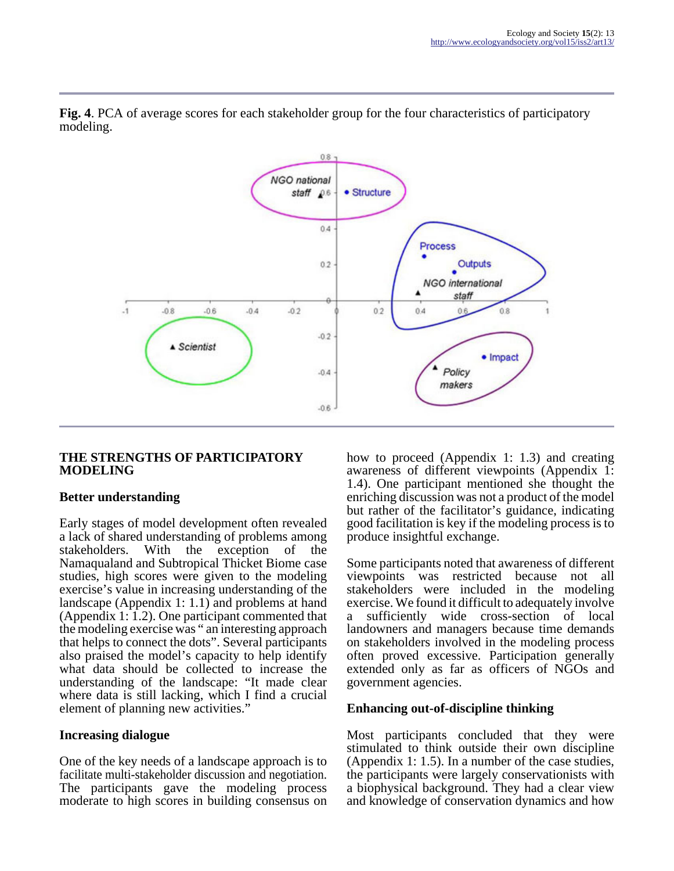

**Fig. 4**. PCA of average scores for each stakeholder group for the four characteristics of participatory modeling.

#### **THE STRENGTHS OF PARTICIPATORY MODELING**

### **Better understanding**

Early stages of model development often revealed a lack of shared understanding of problems among stakeholders. With the exception of the Namaqualand and Subtropical Thicket Biome case studies, high scores were given to the modeling exercise's value in increasing understanding of the landscape (Appendix 1: 1.1) and problems at hand (Appendix 1: 1.2). One participant commented that the modeling exercise was " an interesting approach that helps to connect the dots". Several participants also praised the model's capacity to help identify what data should be collected to increase the understanding of the landscape: "It made clear where data is still lacking, which I find a crucial element of planning new activities."

### **Increasing dialogue**

One of the key needs of a landscape approach is to facilitate multi-stakeholder discussion and negotiation. The participants gave the modeling process moderate to high scores in building consensus on

how to proceed (Appendix 1: 1.3) and creating awareness of different viewpoints (Appendix 1: 1.4). One participant mentioned she thought the enriching discussion was not a product of the model but rather of the facilitator's guidance, indicating good facilitation is key if the modeling process is to produce insightful exchange.

Some participants noted that awareness of different viewpoints was restricted because not all stakeholders were included in the modeling exercise. We found it difficult to adequately involve a sufficiently wide cross-section of local landowners and managers because time demands on stakeholders involved in the modeling process often proved excessive. Participation generally extended only as far as officers of NGOs and government agencies.

### **Enhancing out-of-discipline thinking**

Most participants concluded that they were stimulated to think outside their own discipline (Appendix 1: 1.5). In a number of the case studies, the participants were largely conservationists with a biophysical background. They had a clear view and knowledge of conservation dynamics and how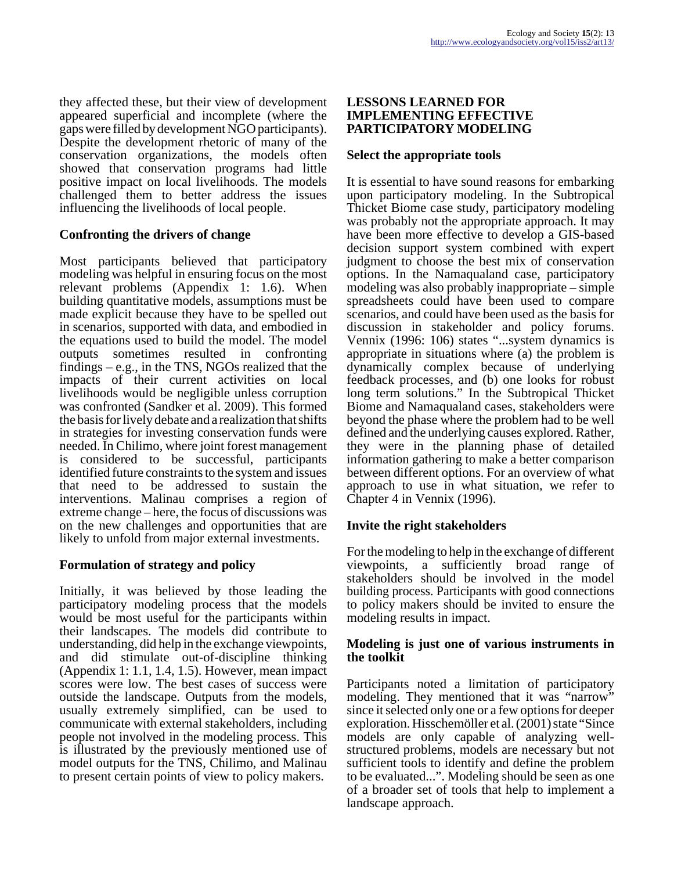they affected these, but their view of development appeared superficial and incomplete (where the gaps were filled by development NGO participants). Despite the development rhetoric of many of the conservation organizations, the models often showed that conservation programs had little positive impact on local livelihoods. The models challenged them to better address the issues influencing the livelihoods of local people.

## **Confronting the drivers of change**

Most participants believed that participatory modeling was helpful in ensuring focus on the most relevant problems (Appendix 1: 1.6). When building quantitative models, assumptions must be made explicit because they have to be spelled out in scenarios, supported with data, and embodied in the equations used to build the model. The model outputs sometimes resulted in confronting findings  $-$  e.g., in the TNS, NGOs realized that the impacts of their current activities on local livelihoods would be negligible unless corruption was confronted (Sandker et al. 2009). This formed the basis for lively debate and a realization that shifts in strategies for investing conservation funds were needed. In Chilimo, where joint forest management is considered to be successful, participants identified future constraints to the system and issues that need to be addressed to sustain the interventions. Malinau comprises a region of extreme change – here, the focus of discussions was on the new challenges and opportunities that are likely to unfold from major external investments.

## **Formulation of strategy and policy**

Initially, it was believed by those leading the participatory modeling process that the models would be most useful for the participants within their landscapes. The models did contribute to understanding, did help in the exchange viewpoints, and did stimulate out-of-discipline thinking (Appendix 1: 1.1, 1.4, 1.5). However, mean impact scores were low. The best cases of success were outside the landscape. Outputs from the models, usually extremely simplified, can be used to communicate with external stakeholders, including people not involved in the modeling process. This is illustrated by the previously mentioned use of model outputs for the TNS, Chilimo, and Malinau to present certain points of view to policy makers.

#### **LESSONS LEARNED FOR IMPLEMENTING EFFECTIVE PARTICIPATORY MODELING**

## **Select the appropriate tools**

It is essential to have sound reasons for embarking upon participatory modeling. In the Subtropical Thicket Biome case study, participatory modeling was probably not the appropriate approach. It may have been more effective to develop a GIS-based decision support system combined with expert judgment to choose the best mix of conservation options. In the Namaqualand case, participatory modeling was also probably inappropriate – simple spreadsheets could have been used to compare scenarios, and could have been used as the basis for discussion in stakeholder and policy forums. Vennix (1996: 106) states "...system dynamics is appropriate in situations where (a) the problem is dynamically complex because of underlying feedback processes, and (b) one looks for robust long term solutions." In the Subtropical Thicket Biome and Namaqualand cases, stakeholders were beyond the phase where the problem had to be well defined and the underlying causes explored. Rather, they were in the planning phase of detailed information gathering to make a better comparison between different options. For an overview of what approach to use in what situation, we refer to Chapter 4 in Vennix (1996).

## **Invite the right stakeholders**

For the modeling to help in the exchange of different viewpoints, a sufficiently broad range of stakeholders should be involved in the model building process. Participants with good connections to policy makers should be invited to ensure the modeling results in impact.

#### **Modeling is just one of various instruments in the toolkit**

Participants noted a limitation of participatory modeling. They mentioned that it was "narrow" since it selected only one or a few options for deeper exploration. Hisschemöller et al. (2001) state "Since models are only capable of analyzing wellstructured problems, models are necessary but not sufficient tools to identify and define the problem to be evaluated...". Modeling should be seen as one of a broader set of tools that help to implement a landscape approach.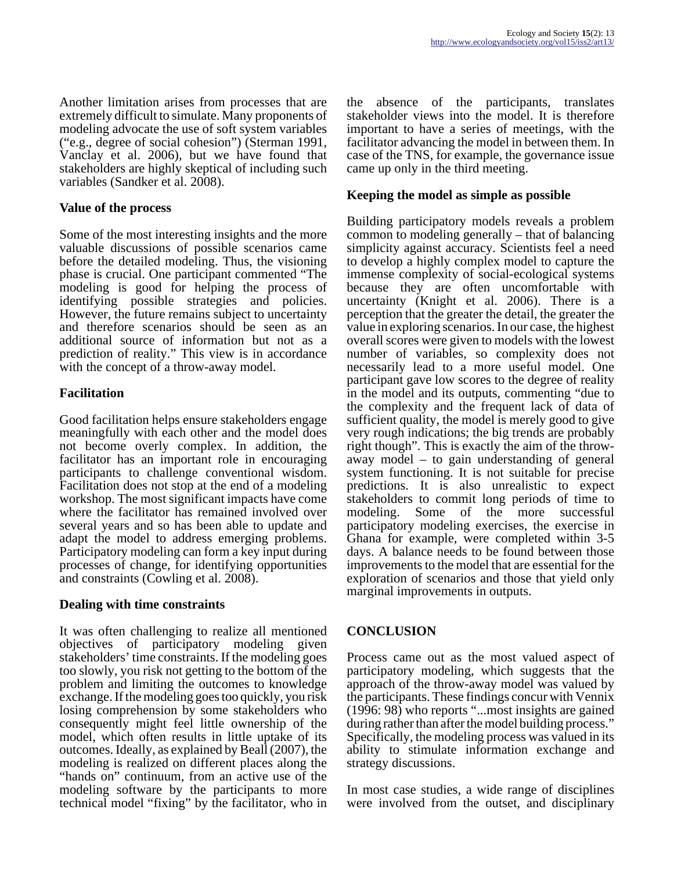Another limitation arises from processes that are extremely difficult to simulate. Many proponents of modeling advocate the use of soft system variables ("e.g., degree of social cohesion") (Sterman 1991, Vanclay et al. 2006), but we have found that stakeholders are highly skeptical of including such variables (Sandker et al. 2008).

#### **Value of the process**

Some of the most interesting insights and the more valuable discussions of possible scenarios came before the detailed modeling. Thus, the visioning phase is crucial. One participant commented "The modeling is good for helping the process of identifying possible strategies and policies. However, the future remains subject to uncertainty and therefore scenarios should be seen as an additional source of information but not as a prediction of reality." This view is in accordance with the concept of a throw-away model.

## **Facilitation**

Good facilitation helps ensure stakeholders engage meaningfully with each other and the model does not become overly complex. In addition, the facilitator has an important role in encouraging participants to challenge conventional wisdom. Facilitation does not stop at the end of a modeling workshop. The most significant impacts have come where the facilitator has remained involved over several years and so has been able to update and adapt the model to address emerging problems. Participatory modeling can form a key input during processes of change, for identifying opportunities and constraints (Cowling et al. 2008).

### **Dealing with time constraints**

It was often challenging to realize all mentioned objectives of participatory modeling given stakeholders' time constraints. If the modeling goes too slowly, you risk not getting to the bottom of the problem and limiting the outcomes to knowledge exchange. If the modeling goes too quickly, you risk losing comprehension by some stakeholders who consequently might feel little ownership of the model, which often results in little uptake of its outcomes. Ideally, as explained by Beall (2007), the modeling is realized on different places along the "hands on" continuum, from an active use of the modeling software by the participants to more technical model "fixing" by the facilitator, who in the absence of the participants, translates stakeholder views into the model. It is therefore important to have a series of meetings, with the facilitator advancing the model in between them. In case of the TNS, for example, the governance issue came up only in the third meeting.

#### **Keeping the model as simple as possible**

Building participatory models reveals a problem common to modeling generally – that of balancing simplicity against accuracy. Scientists feel a need to develop a highly complex model to capture the immense complexity of social-ecological systems because they are often uncomfortable with uncertainty (Knight et al. 2006). There is a perception that the greater the detail, the greater the value in exploring scenarios. In our case, the highest overall scores were given to models with the lowest number of variables, so complexity does not necessarily lead to a more useful model. One participant gave low scores to the degree of reality in the model and its outputs, commenting "due to the complexity and the frequent lack of data of sufficient quality, the model is merely good to give very rough indications; the big trends are probably right though". This is exactly the aim of the throwaway model – to gain understanding of general system functioning. It is not suitable for precise predictions. It is also unrealistic to expect stakeholders to commit long periods of time to modeling. Some of the more successful participatory modeling exercises, the exercise in Ghana for example, were completed within 3-5 days. A balance needs to be found between those improvements to the model that are essential for the exploration of scenarios and those that yield only marginal improvements in outputs.

## **CONCLUSION**

Process came out as the most valued aspect of participatory modeling, which suggests that the approach of the throw-away model was valued by the participants. These findings concur with Vennix (1996: 98) who reports "...most insights are gained during rather than after the model building process." Specifically, the modeling process was valued in its ability to stimulate information exchange and strategy discussions.

In most case studies, a wide range of disciplines were involved from the outset, and disciplinary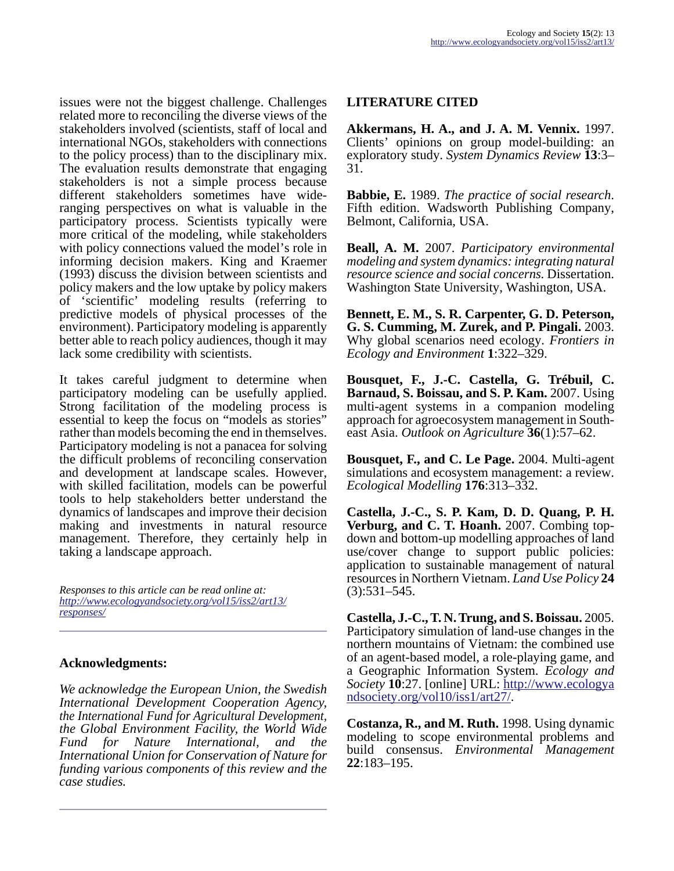issues were not the biggest challenge. Challenges related more to reconciling the diverse views of the stakeholders involved (scientists, staff of local and international NGOs, stakeholders with connections to the policy process) than to the disciplinary mix. The evaluation results demonstrate that engaging stakeholders is not a simple process because different stakeholders sometimes have wideranging perspectives on what is valuable in the participatory process. Scientists typically were more critical of the modeling, while stakeholders with policy connections valued the model's role in informing decision makers. King and Kraemer (1993) discuss the division between scientists and policy makers and the low uptake by policy makers of 'scientific' modeling results (referring to predictive models of physical processes of the environment). Participatory modeling is apparently better able to reach policy audiences, though it may lack some credibility with scientists.

It takes careful judgment to determine when participatory modeling can be usefully applied. Strong facilitation of the modeling process is essential to keep the focus on "models as stories" rather than models becoming the end in themselves. Participatory modeling is not a panacea for solving the difficult problems of reconciling conservation and development at landscape scales. However, with skilled facilitation, models can be powerful tools to help stakeholders better understand the dynamics of landscapes and improve their decision making and investments in natural resource management. Therefore, they certainly help in taking a landscape approach.

*Responses to this article can be read online at: [http://www](http://www.ecologyandsociety.org/vol15/iss2/art13/responses/).ecologyandsociety.org/vol15/iss2/art13/ responses/*

## **Acknowledgments:**

*We acknowledge the European Union, the Swedish International Development Cooperation Agency, the International Fund for Agricultural Development, the Global Environment Facility, the World Wide Fund for Nature International, and the International Union for Conservation of Nature for funding various components of this review and the case studies.* 

## **LITERATURE CITED**

**Akkermans, H. A., and J. A. M. Vennix.** 1997. Clients' opinions on group model-building: an exploratory study. *System Dynamics Review* **13**:3– 31.

**Babbie, E.** 1989. *The practice of social research*. Fifth edition. Wadsworth Publishing Company, Belmont, California, USA.

**Beall, A. M.** 2007. *Participatory environmental modeling and system dynamics: integrating natural resource science and social concerns.* Dissertation. Washington State University, Washington, USA.

**Bennett, E. M., S. R. Carpenter, G. D. Peterson, G. S. Cumming, M. Zurek, and P. Pingali.** 2003. Why global scenarios need ecology. *Frontiers in Ecology and Environment* **1**:322–329.

**Bousquet, F., J.-C. Castella, G. Trébuil, C. Barnaud, S. Boissau, and S. P. Kam.** 2007. Using multi-agent systems in a companion modeling approach for agroecosystem management in Southeast Asia. *Outlook on Agriculture* **36**(1):57–62.

**Bousquet, F., and C. Le Page.** 2004. Multi-agent simulations and ecosystem management: a review. *Ecological Modelling* **176**:313–332.

**Castella, J.-C., S. P. Kam, D. D. Quang, P. H. Verburg, and C. T. Hoanh.** 2007. Combing topdown and bottom-up modelling approaches of land use/cover change to support public policies: application to sustainable management of natural resources in Northern Vietnam. *Land Use Policy* **24** (3):531–545.

**Castella, J.-C., T. N. Trung, and S. Boissau.** 2005. Participatory simulation of land-use changes in the northern mountains of Vietnam: the combined use of an agent-based model, a role-playing game, and a Geographic Information System. *Ecology and Society* **10**:27. [online] URL: [http://www.ecologya](http://www.ecologyandsociety.org/vol10/iss1/art27/) [ndsociety.org/vol10/iss1/art27/](http://www.ecologyandsociety.org/vol10/iss1/art27/).

**Costanza, R., and M. Ruth.** 1998. Using dynamic modeling to scope environmental problems and build consensus. *Environmental Management* **22**:183–195.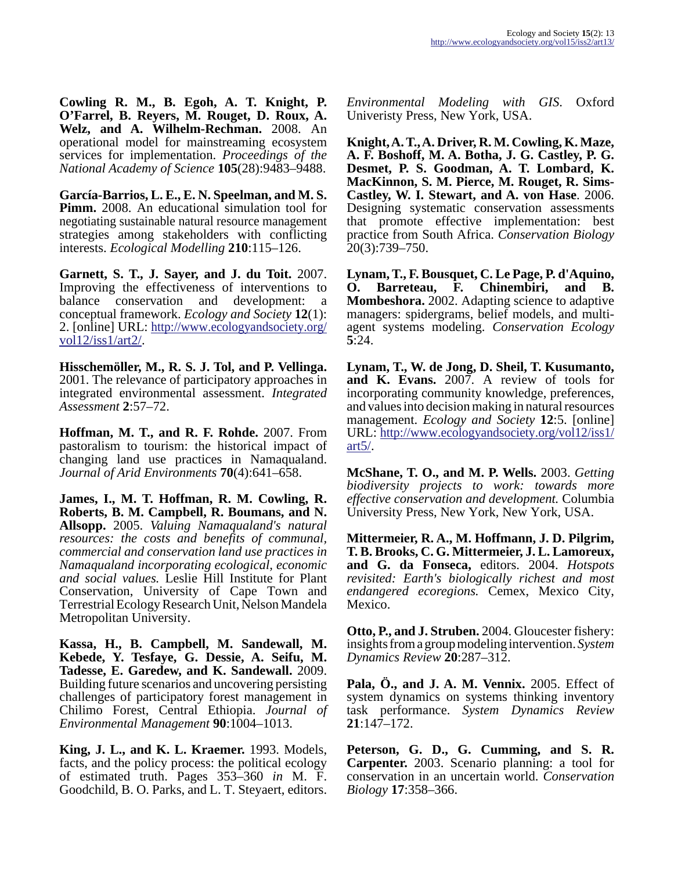**Cowling R. M., B. Egoh, A. T. Knight, P. O'Farrel, B. Reyers, M. Rouget, D. Roux, A. Welz, and A. Wilhelm-Rechman.** 2008. An operational model for mainstreaming ecosystem services for implementation. *Proceedings of the National Academy of Science* **105**(28):9483–9488.

**García-Barrios, L. E., E. N. Speelman, and M. S. Pimm.** 2008. An educational simulation tool for negotiating sustainable natural resource management strategies among stakeholders with conflicting interests. *Ecological Modelling* **210**:115–126.

**Garnett, S. T., J. Sayer, and J. du Toit.** 2007. Improving the effectiveness of interventions to balance conservation and development: a conceptual framework. *Ecology and Society* **12**(1): 2. [online] URL: [http://www.ecologyandsociety.org/](http://www.ecologyandsociety.org/vol12/iss1/art2/) [vol12/iss1/art2/.](http://www.ecologyandsociety.org/vol12/iss1/art2/)

**Hisschemöller, M., R. S. J. Tol, and P. Vellinga.** 2001. The relevance of participatory approaches in integrated environmental assessment. *Integrated Assessment* **2**:57–72.

**Hoffman, M. T., and R. F. Rohde.** 2007. From pastoralism to tourism: the historical impact of changing land use practices in Namaqualand. *Journal of Arid Environments* **70**(4):641–658.

**James, I., M. T. Hoffman, R. M. Cowling, R. Roberts, B. M. Campbell, R. Boumans, and N. Allsopp.** 2005. *Valuing Namaqualand's natural resources: the costs and benefits of communal, commercial and conservation land use practices in Namaqualand incorporating ecological, economic and social values.* Leslie Hill Institute for Plant Conservation, University of Cape Town and Terrestrial Ecology Research Unit, Nelson Mandela Metropolitan University.

**Kassa, H., B. Campbell, M. Sandewall, M. Kebede, Y. Tesfaye, G. Dessie, A. Seifu, M. Tadesse, E. Garedew, and K. Sandewall.** 2009. Building future scenarios and uncovering persisting challenges of participatory forest management in Chilimo Forest, Central Ethiopia. *Journal of Environmental Management* **90**:1004–1013.

**King, J. L., and K. L. Kraemer.** 1993. Models, facts, and the policy process: the political ecology of estimated truth. Pages 353–360 *in* M. F. Goodchild, B. O. Parks, and L. T. Steyaert, editors. *Environmental Modeling with GIS*. Oxford Univeristy Press, New York, USA.

**Knight, A. T., A. Driver, R. M. Cowling, K. Maze, A. F. Boshoff, M. A. Botha, J. G. Castley, P. G. Desmet, P. S. Goodman, A. T. Lombard, K. MacKinnon, S. M. Pierce, M. Rouget, R. Sims-Castley, W. I. Stewart, and A. von Hase**. 2006. Designing systematic conservation assessments that promote effective implementation: best practice from South Africa. *Conservation Biology* 20(3):739–750.

**Lynam, T., F. Bousquet, C. Le Page, P. d'Aquino, O. Barreteau, F. Chinembiri, and B. Mombeshora.** 2002. Adapting science to adaptive managers: spidergrams, belief models, and multiagent systems modeling. *Conservation Ecology* **5**:24.

**Lynam, T., W. de Jong, D. Sheil, T. Kusumanto, and K. Evans.** 2007. A review of tools for incorporating community knowledge, preferences, and values into decision making in natural resources management. *Ecology and Society* **12**:5. [online] URL: [http://www.ecologyandsociety.org/vol12/iss1/](http://www.ecologyandsociety.org/vol12/iss1/art5/) [art5/.](http://www.ecologyandsociety.org/vol12/iss1/art5/)

**McShane, T. O., and M. P. Wells.** 2003. *Getting biodiversity projects to work: towards more effective conservation and development.* Columbia University Press, New York, New York, USA.

**Mittermeier, R. A., M. Hoffmann, J. D. Pilgrim, T. B. Brooks, C. G. Mittermeier, J. L. Lamoreux, and G. da Fonseca,** editors. 2004. *Hotspots revisited: Earth's biologically richest and most endangered ecoregions.* Cemex, Mexico City, Mexico.

**Otto, P., and J. Struben.** 2004. Gloucester fishery: insights from a group modeling intervention. *System Dynamics Review* **20**:287–312.

Pala,  $\ddot{\textbf{O}}$ ., and J. A. M. Vennix. 2005. Effect of system dynamics on systems thinking inventory task performance. *System Dynamics Review* **21**:147–172.

**Peterson, G. D., G. Cumming, and S. R. Carpenter.** 2003. Scenario planning: a tool for conservation in an uncertain world. *Conservation Biology* **17**:358–366.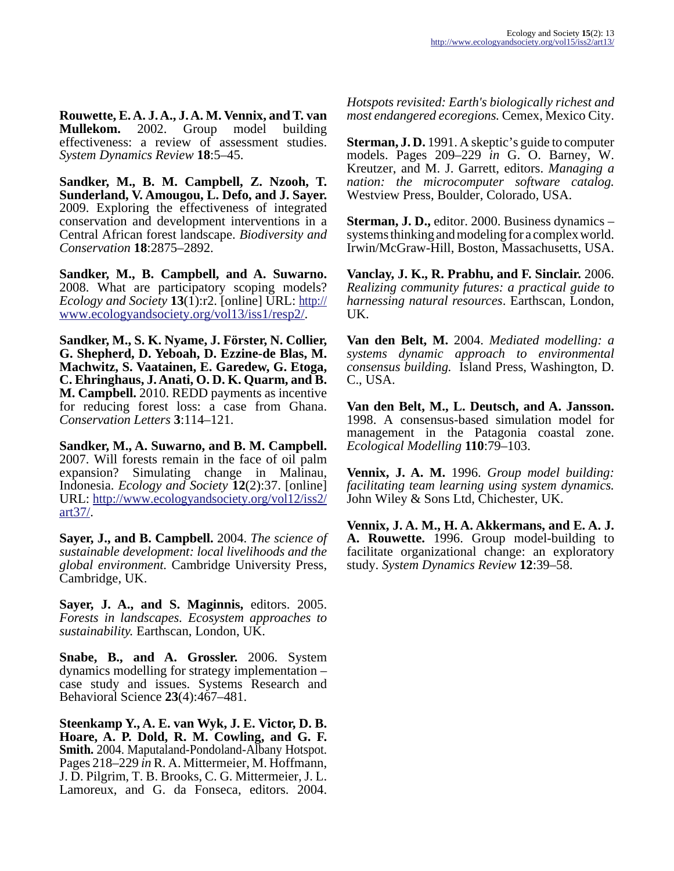**Rouwette, E. A. J. A., J. A. M. Vennix, and T. van**<br>**Mullekom.** 2002. Group model building **Mullekom.** 2002. Group model building effectiveness: a review of assessment studies. *System Dynamics Review* **18**:5–45.

**Sandker, M., B. M. Campbell, Z. Nzooh, T. Sunderland, V. Amougou, L. Defo, and J. Sayer.** 2009. Exploring the effectiveness of integrated conservation and development interventions in a Central African forest landscape. *Biodiversity and Conservation* **18**:2875–2892.

**Sandker, M., B. Campbell, and A. Suwarno.** 2008. What are participatory scoping models? *Ecology and Society* **13**(1):r2. [online] URL: [http://](http://www.ecologyandsociety.org/vol13/iss1/resp2) [www.ecologyandsociety.org/vol13/iss1/resp2/.](http://www.ecologyandsociety.org/vol13/iss1/resp2)

**Sandker, M., S. K. Nyame, J. Förster, N. Collier, G. Shepherd, D. Yeboah, D. Ezzine-de Blas, M. Machwitz, S. Vaatainen, E. Garedew, G. Etoga, C. Ehringhaus, J. Anati, O. D. K. Quarm, and B. M. Campbell.** 2010. REDD payments as incentive for reducing forest loss: a case from Ghana. *Conservation Letters* **3**:114–121.

**Sandker, M., A. Suwarno, and B. M. Campbell.** 2007. Will forests remain in the face of oil palm expansion? Simulating change in Malinau, Indonesia. *Ecology and Society* **12**(2):37. [online] URL: [http://www.ecologyandsociety.org/vol12/iss2/](http://www.ecologyandsociety.org/vol12/iss2/art37/) [art37/.](http://www.ecologyandsociety.org/vol12/iss2/art37/)

**Sayer, J., and B. Campbell.** 2004. *The science of sustainable development: local livelihoods and the global environment.* Cambridge University Press, Cambridge, UK.

**Sayer, J. A., and S. Maginnis,** editors. 2005. *Forests in landscapes. Ecosystem approaches to sustainability.* Earthscan, London, UK.

**Snabe, B., and A. Grossler.** 2006. System dynamics modelling for strategy implementation – case study and issues. Systems Research and Behavioral Science **23**(4):467–481.

**Steenkamp Y., A. E. van Wyk, J. E. Victor, D. B. Hoare, A. P. Dold, R. M. Cowling, and G. F. Smith.** 2004. Maputaland-Pondoland-Albany Hotspot. Pages 218–229 *in* R. A. Mittermeier, M. Hoffmann, J. D. Pilgrim, T. B. Brooks, C. G. Mittermeier, J. L. Lamoreux, and G. da Fonseca, editors. 2004.

*Hotspots revisited: Earth's biologically richest and most endangered ecoregions.* Cemex, Mexico City.

**Sterman, J. D.** 1991. A skeptic's guide to computer models. Pages 209–229 *in* G. O. Barney, W. Kreutzer, and M. J. Garrett, editors. *Managing a nation: the microcomputer software catalog.* Westview Press, Boulder, Colorado, USA.

**Sterman, J. D.,** editor. 2000. Business dynamics – systems thinking and modeling for a complex world. Irwin/McGraw-Hill, Boston, Massachusetts, USA.

**Vanclay, J. K., R. Prabhu, and F. Sinclair.** 2006. *Realizing community futures: a practical guide to harnessing natural resources*. Earthscan, London, UK.

**Van den Belt, M.** 2004. *Mediated modelling: a systems dynamic approach to environmental consensus building.* Island Press, Washington, D. C., USA.

**Van den Belt, M., L. Deutsch, and A. Jansson.** 1998. A consensus-based simulation model for management in the Patagonia coastal zone. *Ecological Modelling* **110**:79–103.

**Vennix, J. A. M.** 1996. *Group model building: facilitating team learning using system dynamics.* John Wiley & Sons Ltd, Chichester, UK.

**Vennix, J. A. M., H. A. Akkermans, and E. A. J. A. Rouwette.** 1996. Group model-building to facilitate organizational change: an exploratory study. *System Dynamics Review* **12**:39–58.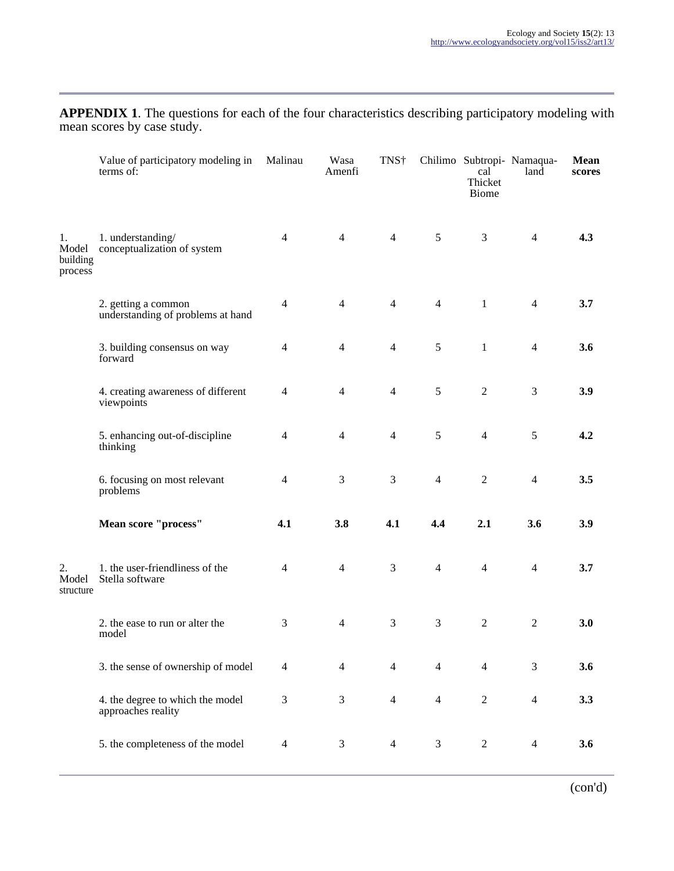**APPENDIX 1**. The questions for each of the four characteristics describing participatory modeling with mean scores by case study.

|                                    | Value of participatory modeling in<br>terms of:          | Malinau        | Wasa<br>Amenfi | TNS <sup>†</sup> |                | cal<br>Thicket<br><b>Biome</b> | Chilimo Subtropi- Namaqua-<br>land | <b>Mean</b><br>scores |
|------------------------------------|----------------------------------------------------------|----------------|----------------|------------------|----------------|--------------------------------|------------------------------------|-----------------------|
| 1.<br>Model<br>building<br>process | 1. understanding/<br>conceptualization of system         | $\overline{4}$ | $\overline{4}$ | $\overline{4}$   | 5              | 3                              | $\overline{4}$                     | 4.3                   |
|                                    | 2. getting a common<br>understanding of problems at hand | $\overline{4}$ | $\overline{4}$ | $\overline{4}$   | $\overline{4}$ | $\mathbf{1}$                   | $\overline{4}$                     | 3.7                   |
|                                    | 3. building consensus on way<br>forward                  | $\overline{4}$ | $\overline{4}$ | $\overline{4}$   | 5              | $\mathbf{1}$                   | $\overline{4}$                     | 3.6                   |
|                                    | 4. creating awareness of different<br>viewpoints         | $\overline{4}$ | $\overline{4}$ | $\overline{4}$   | 5              | $\sqrt{2}$                     | $\mathfrak{Z}$                     | 3.9                   |
|                                    | 5. enhancing out-of-discipline<br>thinking               | $\overline{4}$ | $\overline{4}$ | $\overline{4}$   | 5              | $\overline{4}$                 | 5                                  | 4.2                   |
|                                    | 6. focusing on most relevant<br>problems                 | $\overline{4}$ | 3              | 3                | $\overline{4}$ | $\sqrt{2}$                     | $\overline{4}$                     | 3.5                   |
|                                    | Mean score "process"                                     | 4.1            | 3.8            | 4.1              | 4,4            | 2.1                            | 3.6                                | 3.9                   |
| 2.<br>Model<br>structure           | 1. the user-friendliness of the<br>Stella software       | $\overline{4}$ | $\overline{4}$ | 3                | $\overline{4}$ | $\overline{4}$                 | $\overline{4}$                     | 3.7                   |
|                                    | 2. the ease to run or alter the<br>model                 | 3              | $\overline{4}$ | $\mathfrak 3$    | $\mathfrak{Z}$ | $\mathfrak{2}$                 | $\sqrt{2}$                         | 3.0                   |
|                                    | 3. the sense of ownership of model                       | $\overline{4}$ | $\overline{4}$ | $\overline{4}$   | $\overline{4}$ | $\overline{4}$                 | $\mathfrak{Z}$                     | 3.6                   |
|                                    | 4. the degree to which the model<br>approaches reality   | 3              | 3              | $\overline{4}$   | $\overline{4}$ | $\overline{2}$                 | $\overline{4}$                     | 3.3                   |
|                                    | 5. the completeness of the model                         | $\overline{4}$ | 3              | $\overline{4}$   | $\mathfrak{Z}$ | $\boldsymbol{2}$               | $\overline{4}$                     | 3.6                   |